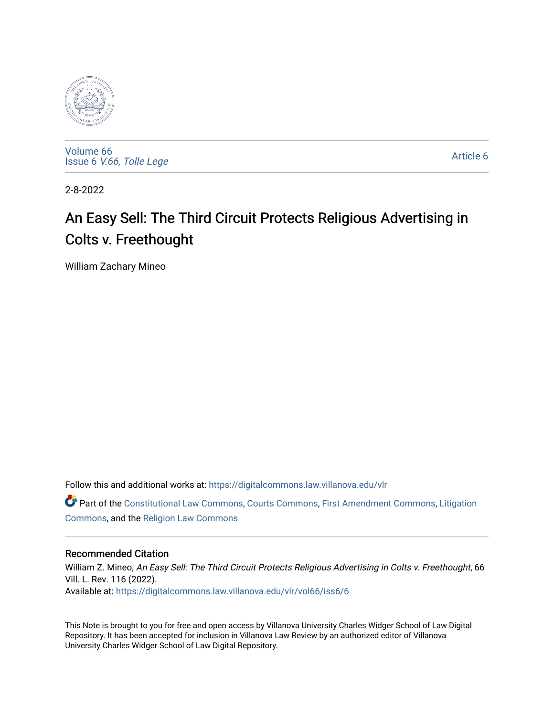

[Volume 66](https://digitalcommons.law.villanova.edu/vlr/vol66) Issue 6 [V.66, Tolle Lege](https://digitalcommons.law.villanova.edu/vlr/vol66/iss6) 

[Article 6](https://digitalcommons.law.villanova.edu/vlr/vol66/iss6/6) 

2-8-2022

# An Easy Sell: The Third Circuit Protects Religious Advertising in Colts v. Freethought

William Zachary Mineo

Follow this and additional works at: [https://digitalcommons.law.villanova.edu/vlr](https://digitalcommons.law.villanova.edu/vlr?utm_source=digitalcommons.law.villanova.edu%2Fvlr%2Fvol66%2Fiss6%2F6&utm_medium=PDF&utm_campaign=PDFCoverPages)

Part of the [Constitutional Law Commons,](http://network.bepress.com/hgg/discipline/589?utm_source=digitalcommons.law.villanova.edu%2Fvlr%2Fvol66%2Fiss6%2F6&utm_medium=PDF&utm_campaign=PDFCoverPages) [Courts Commons,](http://network.bepress.com/hgg/discipline/839?utm_source=digitalcommons.law.villanova.edu%2Fvlr%2Fvol66%2Fiss6%2F6&utm_medium=PDF&utm_campaign=PDFCoverPages) [First Amendment Commons](http://network.bepress.com/hgg/discipline/1115?utm_source=digitalcommons.law.villanova.edu%2Fvlr%2Fvol66%2Fiss6%2F6&utm_medium=PDF&utm_campaign=PDFCoverPages), [Litigation](http://network.bepress.com/hgg/discipline/910?utm_source=digitalcommons.law.villanova.edu%2Fvlr%2Fvol66%2Fiss6%2F6&utm_medium=PDF&utm_campaign=PDFCoverPages) [Commons](http://network.bepress.com/hgg/discipline/910?utm_source=digitalcommons.law.villanova.edu%2Fvlr%2Fvol66%2Fiss6%2F6&utm_medium=PDF&utm_campaign=PDFCoverPages), and the [Religion Law Commons](http://network.bepress.com/hgg/discipline/872?utm_source=digitalcommons.law.villanova.edu%2Fvlr%2Fvol66%2Fiss6%2F6&utm_medium=PDF&utm_campaign=PDFCoverPages)

# Recommended Citation

William Z. Mineo, An Easy Sell: The Third Circuit Protects Religious Advertising in Colts v. Freethought, 66 Vill. L. Rev. 116 (2022). Available at: [https://digitalcommons.law.villanova.edu/vlr/vol66/iss6/6](https://digitalcommons.law.villanova.edu/vlr/vol66/iss6/6?utm_source=digitalcommons.law.villanova.edu%2Fvlr%2Fvol66%2Fiss6%2F6&utm_medium=PDF&utm_campaign=PDFCoverPages) 

This Note is brought to you for free and open access by Villanova University Charles Widger School of Law Digital Repository. It has been accepted for inclusion in Villanova Law Review by an authorized editor of Villanova University Charles Widger School of Law Digital Repository.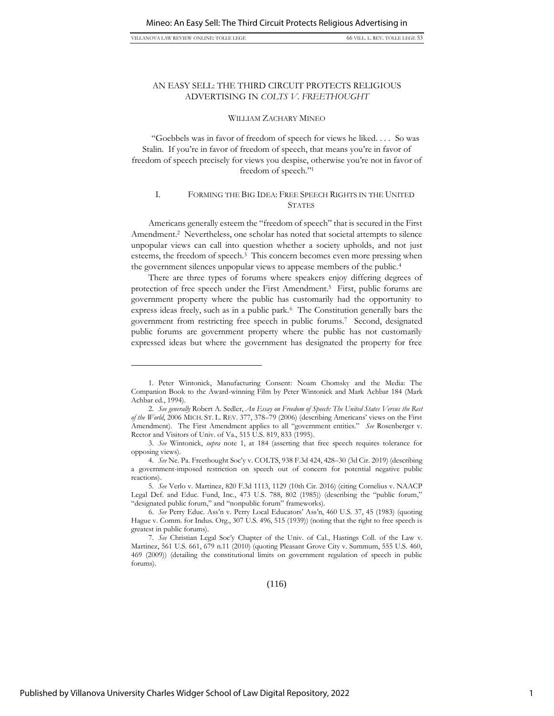VILLANOVA LAW REVIEW ONLINE: TOLLE LEGE 653

# AN EASY SELL: THE THIRD CIRCUIT PROTECTS RELIGIOUS ADVERTISING IN *COLTS V. FREETHOUGHT*

#### WILLIAM ZACHARY MINEO

"Goebbels was in favor of freedom of speech for views he liked. . . . So was Stalin. If you're in favor of freedom of speech, that means you're in favor of freedom of speech precisely for views you despise, otherwise you're not in favor of freedom of speech."<sup>1</sup>

# I. FORMING THE BIG IDEA: FREE SPEECH RIGHTS IN THE UNITED **STATES**

Americans generally esteem the "freedom of speech" that is secured in the First Amendment.<sup>2</sup> Nevertheless, one scholar has noted that societal attempts to silence unpopular views can call into question whether a society upholds, and not just esteems, the freedom of speech.<sup>3</sup> This concern becomes even more pressing when the government silences unpopular views to appease members of the public.<sup>4</sup>

There are three types of forums where speakers enjoy differing degrees of protection of free speech under the First Amendment.<sup>5</sup> First, public forums are government property where the public has customarily had the opportunity to express ideas freely, such as in a public park.<sup>6</sup> The Constitution generally bars the government from restricting free speech in public forums.<sup>7</sup> Second, designated public forums are government property where the public has not customarily expressed ideas but where the government has designated the property for free

<sup>1.</sup> Peter Wintonick, Manufacturing Consent: Noam Chomsky and the Media: The Companion Book to the Award-winning Film by Peter Wintonick and Mark Achbar 184 (Mark Achbar ed., 1994).

<sup>2.</sup> *See generally* Robert A. Sedler, *An Essay on Freedom of Speech: The United States Versus the Rest of the World*, 2006 MICH. ST. L. REV. 377, 378–79 (2006) (describing Americans' views on the First Amendment). The First Amendment applies to all "government entities." *See* Rosenberger v. Rector and Visitors of Univ. of Va., 515 U.S. 819, 833 (1995).

<sup>3.</sup> *See* Wintonick, *supra* note 1, at 184 (asserting that free speech requires tolerance for opposing views).

<sup>4.</sup> *See* Ne. Pa. Freethought Soc'y v. COLTS, 938 F.3d 424, 428–30 (3d Cir. 2019) (describing a government-imposed restriction on speech out of concern for potential negative public reactions).

<sup>5.</sup> *See* Verlo v. Martinez, 820 F.3d 1113, 1129 (10th Cir. 2016) (citing Cornelius v. NAACP Legal Def. and Educ. Fund, Inc., 473 U.S. 788, 802 (1985)) (describing the "public forum," "designated public forum," and "nonpublic forum" frameworks).

<sup>6.</sup> *See* Perry Educ. Ass'n v. Perry Local Educators' Ass'n, 460 U.S. 37, 45 (1983) (quoting Hague v. Comm. for Indus. Org., 307 U.S. 496, 515 (1939)) (noting that the right to free speech is greatest in public forums).

<sup>7.</sup> *See* Christian Legal Soc'y Chapter of the Univ. of Cal., Hastings Coll. of the Law v. Martinez, 561 U.S. 661, 679 n.11 (2010) (quoting Pleasant Grove City v. Summum, 555 U.S. 460, 469 (2009)) (detailing the constitutional limits on government regulation of speech in public forums).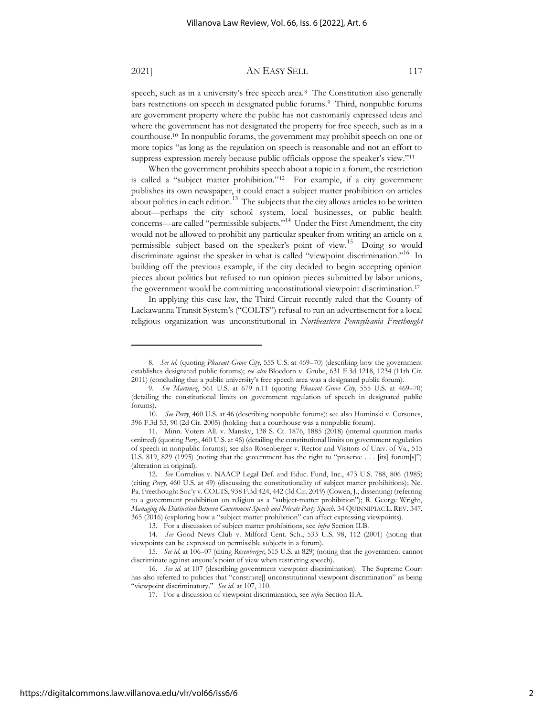speech, such as in a university's free speech area.<sup>8</sup> The Constitution also generally bars restrictions on speech in designated public forums.<sup>9</sup> Third, nonpublic forums are government property where the public has not customarily expressed ideas and where the government has not designated the property for free speech, such as in a courthouse.<sup>10</sup> In nonpublic forums, the government may prohibit speech on one or more topics "as long as the regulation on speech is reasonable and not an effort to suppress expression merely because public officials oppose the speaker's view."<sup>11</sup>

When the government prohibits speech about a topic in a forum, the restriction is called a "subject matter prohibition."<sup>12</sup> For example, if a city government publishes its own newspaper, it could enact a subject matter prohibition on articles about politics in each edition. $13$  The subjects that the city allows articles to be written about—perhaps the city school system, local businesses, or public health concerns—are called "permissible subjects."<sup>14</sup> Under the First Amendment, the city would not be allowed to prohibit any particular speaker from writing an article on a permissible subject based on the speaker's point of view.<sup>15</sup> Doing so would discriminate against the speaker in what is called "viewpoint discrimination."<sup>16</sup> In building off the previous example, if the city decided to begin accepting opinion pieces about politics but refused to run opinion pieces submitted by labor unions, the government would be committing unconstitutional viewpoint discrimination.<sup>17</sup>

In applying this case law, the Third Circuit recently ruled that the County of Lackawanna Transit System's ("COLTS") refusal to run an advertisement for a local religious organization was unconstitutional in *Northeastern Pennsylvania Freethought* 

<sup>8.</sup> *See id.* (quoting *Pleasant Grove City*, 555 U.S. at 469–70) (describing how the government establishes designated public forums); *see also* Bloedorn v. Grube, 631 F.3d 1218, 1234 (11th Cir. 2011) (concluding that a public university's free speech area was a designated public forum).

<sup>9.</sup> *See Martinez*, 561 U.S. at 679 n.11 (quoting *Pleasant Grove City*, 555 U.S. at 469–70) (detailing the constitutional limits on government regulation of speech in designated public forums).

<sup>10.</sup> *See Perry*, 460 U.S. at 46 (describing nonpublic forums); see also Huminski v. Corsones, 396 F.3d 53, 90 (2d Cir. 2005) (holding that a courthouse was a nonpublic forum).

<sup>11.</sup> Minn. Voters All. v. Mansky, 138 S. Ct. 1876, 1885 (2018) (internal quotation marks omitted) (quoting *Perry*, 460 U.S. at 46) (detailing the constitutional limits on government regulation of speech in nonpublic forums); see also Rosenberger v. Rector and Visitors of Univ. of Va., 515 U.S. 819, 829 (1995) (noting that the government has the right to "preserve . . . [its] forum[s]") (alteration in original).

<sup>12.</sup> *See* Cornelius v. NAACP Legal Def. and Educ. Fund, Inc., 473 U.S. 788, 806 (1985) (citing *Perry*, 460 U.S. at 49) (discussing the constitutionality of subject matter prohibitions); Ne. Pa. Freethought Soc'y v. COLTS, 938 F.3d 424, 442 (3d Cir. 2019) (Cowen, J., dissenting) (referring to a government prohibition on religion as a "subject-matter prohibition"); R. George Wright, *Managing the Distinction Between Government Speech and Private Party Speech*, 34 QUINNIPIAC L. REV. 347, 365 (2016) (exploring how a "subject matter prohibition" can affect expressing viewpoints).

<sup>13.</sup> For a discussion of subject matter prohibitions, see *infra* Section II.B.

<sup>14.</sup> *See* Good News Club v. Milford Cent. Sch., 533 U.S. 98, 112 (2001) (noting that viewpoints can be expressed on permissible subjects in a forum).

<sup>15.</sup> *See id.* at 106–07 (citing *Rosenberger*, 515 U.S. at 829) (noting that the government cannot discriminate against anyone's point of view when restricting speech).

<sup>16.</sup> *See id.* at 107 (describing government viewpoint discrimination). The Supreme Court has also referred to policies that "constitute[] unconstitutional viewpoint discrimination" as being "viewpoint discriminatory." *See id.* at 107, 110.

<sup>17.</sup> For a discussion of viewpoint discrimination, see *infra* Section II.A.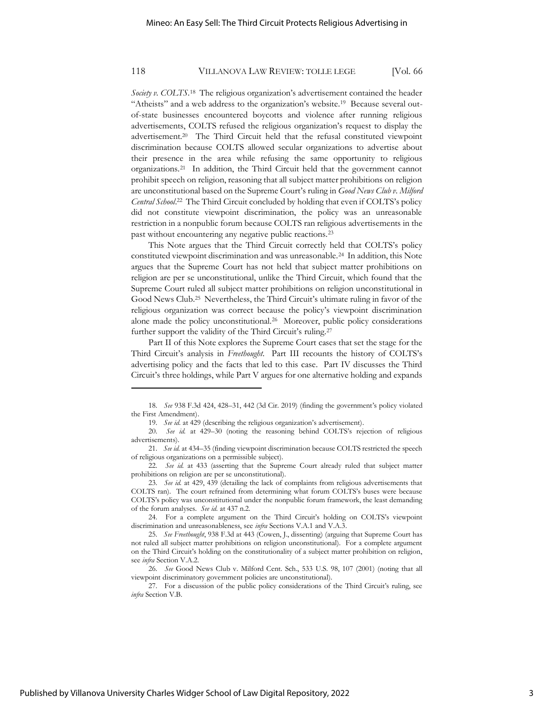Society v. COLTS.<sup>18</sup> The religious organization's advertisement contained the header "Atheists" and a web address to the organization's website.<sup>19</sup> Because several outof-state businesses encountered boycotts and violence after running religious advertisements, COLTS refused the religious organization's request to display the advertisement.<sup>20</sup> The Third Circuit held that the refusal constituted viewpoint discrimination because COLTS allowed secular organizations to advertise about their presence in the area while refusing the same opportunity to religious organizations.<sup>21</sup> In addition, the Third Circuit held that the government cannot prohibit speech on religion, reasoning that all subject matter prohibitions on religion are unconstitutional based on the Supreme Court's ruling in *Good News Club v. Milford Central School*. 22 The Third Circuit concluded by holding that even if COLTS's policy did not constitute viewpoint discrimination, the policy was an unreasonable restriction in a nonpublic forum because COLTS ran religious advertisements in the past without encountering any negative public reactions.<sup>23</sup>

This Note argues that the Third Circuit correctly held that COLTS's policy constituted viewpoint discrimination and was unreasonable.<sup>24</sup> In addition, this Note argues that the Supreme Court has not held that subject matter prohibitions on religion are per se unconstitutional, unlike the Third Circuit, which found that the Supreme Court ruled all subject matter prohibitions on religion unconstitutional in Good News Club.<sup>25</sup> Nevertheless, the Third Circuit's ultimate ruling in favor of the religious organization was correct because the policy's viewpoint discrimination alone made the policy unconstitutional.<sup>26</sup> Moreover, public policy considerations further support the validity of the Third Circuit's ruling.<sup>27</sup>

Part II of this Note explores the Supreme Court cases that set the stage for the Third Circuit's analysis in *Freethought*. Part III recounts the history of COLTS's advertising policy and the facts that led to this case. Part IV discusses the Third Circuit's three holdings, while Part V argues for one alternative holding and expands

<sup>18.</sup> *See* 938 F.3d 424, 428–31, 442 (3d Cir. 2019) (finding the government's policy violated the First Amendment).

<sup>19.</sup> *See id.* at 429 (describing the religious organization's advertisement).

<sup>20.</sup> *See id.* at 429–30 (noting the reasoning behind COLTS's rejection of religious advertisements).

<sup>21.</sup> *See id.* at 434–35 (finding viewpoint discrimination because COLTS restricted the speech of religious organizations on a permissible subject).

<sup>22.</sup> *See id.* at 433 (asserting that the Supreme Court already ruled that subject matter prohibitions on religion are per se unconstitutional).

<sup>23.</sup> *See id.* at 429, 439 (detailing the lack of complaints from religious advertisements that COLTS ran). The court refrained from determining what forum COLTS's buses were because COLTS's policy was unconstitutional under the nonpublic forum framework, the least demanding of the forum analyses. *See id.* at 437 n.2.

<sup>24.</sup> For a complete argument on the Third Circuit's holding on COLTS's viewpoint discrimination and unreasonableness, see *infra* Sections V.A.1 and V.A.3.

<sup>25.</sup> *See Freethought*, 938 F.3d at 443 (Cowen, J., dissenting) (arguing that Supreme Court has not ruled all subject matter prohibitions on religion unconstitutional). For a complete argument on the Third Circuit's holding on the constitutionality of a subject matter prohibition on religion, see *infra* Section V.A.2.

<sup>26.</sup> *See* Good News Club v. Milford Cent. Sch., 533 U.S. 98, 107 (2001) (noting that all viewpoint discriminatory government policies are unconstitutional).

<sup>27.</sup> For a discussion of the public policy considerations of the Third Circuit's ruling, see *infra* Section V.B.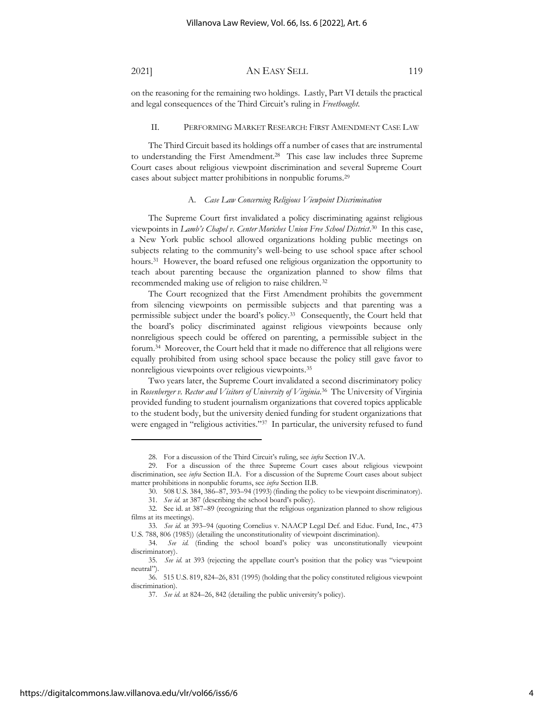on the reasoning for the remaining two holdings. Lastly, Part VI details the practical and legal consequences of the Third Circuit's ruling in *Freethought*.

#### II. PERFORMING MARKET RESEARCH: FIRST AMENDMENT CASE LAW

The Third Circuit based its holdings off a number of cases that are instrumental to understanding the First Amendment.<sup>28</sup> This case law includes three Supreme Court cases about religious viewpoint discrimination and several Supreme Court cases about subject matter prohibitions in nonpublic forums.<sup>29</sup>

### A. *Case Law Concerning Religious Viewpoint Discrimination*

The Supreme Court first invalidated a policy discriminating against religious viewpoints in *Lamb's Chapel v. Center Moriches Union Free School District*. 30 In this case, a New York public school allowed organizations holding public meetings on subjects relating to the community's well-being to use school space after school hours.<sup>31</sup> However, the board refused one religious organization the opportunity to teach about parenting because the organization planned to show films that recommended making use of religion to raise children.<sup>32</sup>

The Court recognized that the First Amendment prohibits the government from silencing viewpoints on permissible subjects and that parenting was a permissible subject under the board's policy.<sup>33</sup> Consequently, the Court held that the board's policy discriminated against religious viewpoints because only nonreligious speech could be offered on parenting, a permissible subject in the forum.<sup>34</sup> Moreover, the Court held that it made no difference that all religions were equally prohibited from using school space because the policy still gave favor to nonreligious viewpoints over religious viewpoints.<sup>35</sup>

Two years later, the Supreme Court invalidated a second discriminatory policy in *Rosenberger v. Rector and Visitors of University of Virginia*. 36 The University of Virginia provided funding to student journalism organizations that covered topics applicable to the student body, but the university denied funding for student organizations that were engaged in "religious activities."<sup>37</sup> In particular, the university refused to fund

<sup>28.</sup> For a discussion of the Third Circuit's ruling, see *infra* Section IV.A.

<sup>29.</sup> For a discussion of the three Supreme Court cases about religious viewpoint discrimination, see *infra* Section II.A. For a discussion of the Supreme Court cases about subject matter prohibitions in nonpublic forums, see *infra* Section II.B.

<sup>30.</sup> 508 U.S. 384, 386–87, 393–94 (1993) (finding the policy to be viewpoint discriminatory).

<sup>31.</sup> *See id.* at 387 (describing the school board's policy).

<sup>32.</sup> See id. at 387–89 (recognizing that the religious organization planned to show religious films at its meetings).

<sup>33.</sup> *See id.* at 393–94 (quoting Cornelius v. NAACP Legal Def. and Educ. Fund, Inc., 473 U.S. 788, 806 (1985)) (detailing the unconstitutionality of viewpoint discrimination).

<sup>34.</sup> *See id.* (finding the school board's policy was unconstitutionally viewpoint discriminatory).

<sup>35.</sup> *See id.* at 393 (rejecting the appellate court's position that the policy was "viewpoint neutral").

<sup>36.</sup> 515 U.S. 819, 824–26, 831 (1995) (holding that the policy constituted religious viewpoint discrimination).

<sup>37.</sup> *See id.* at 824–26, 842 (detailing the public university's policy).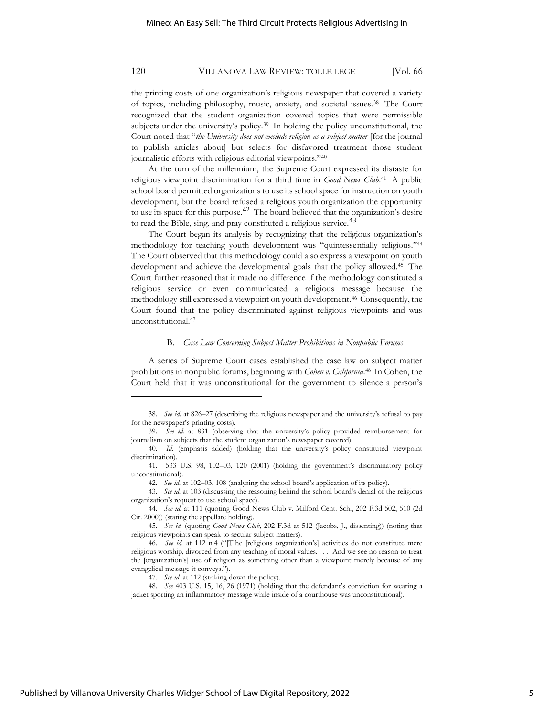the printing costs of one organization's religious newspaper that covered a variety of topics, including philosophy, music, anxiety, and societal issues.<sup>38</sup> The Court recognized that the student organization covered topics that were permissible subjects under the university's policy.<sup>39</sup> In holding the policy unconstitutional, the Court noted that "*the University does not exclude religion as a subject matter* [for the journal to publish articles about] but selects for disfavored treatment those student journalistic efforts with religious editorial viewpoints."<sup>40</sup>

At the turn of the millennium, the Supreme Court expressed its distaste for religious viewpoint discrimination for a third time in *Good News Club*. <sup>41</sup> A public school board permitted organizations to use its school space for instruction on youth development, but the board refused a religious youth organization the opportunity to use its space for this purpose.<sup>42</sup> The board believed that the organization's desire to read the Bible, sing, and pray constituted a religious service.<sup>43</sup>

The Court began its analysis by recognizing that the religious organization's methodology for teaching youth development was "quintessentially religious."<sup>44</sup> The Court observed that this methodology could also express a viewpoint on youth development and achieve the developmental goals that the policy allowed.<sup>45</sup> The Court further reasoned that it made no difference if the methodology constituted a religious service or even communicated a religious message because the methodology still expressed a viewpoint on youth development.<sup>46</sup> Consequently, the Court found that the policy discriminated against religious viewpoints and was unconstitutional.<sup>47</sup>

#### B. *Case Law Concerning Subject Matter Prohibitions in Nonpublic Forums*

A series of Supreme Court cases established the case law on subject matter prohibitions in nonpublic forums, beginning with *Cohen v. California*. 48 In Cohen, the Court held that it was unconstitutional for the government to silence a person's

<sup>38.</sup> *See id.* at 826–27 (describing the religious newspaper and the university's refusal to pay for the newspaper's printing costs).

<sup>39.</sup> *See id.* at 831 (observing that the university's policy provided reimbursement for journalism on subjects that the student organization's newspaper covered).

<sup>40.</sup> *Id.* (emphasis added) (holding that the university's policy constituted viewpoint discrimination).

<sup>41.</sup> 533 U.S. 98, 102–03, 120 (2001) (holding the government's discriminatory policy unconstitutional).

<sup>42.</sup> *See id.* at 102–03, 108 (analyzing the school board's application of its policy).

<sup>43.</sup> *See id.* at 103 (discussing the reasoning behind the school board's denial of the religious organization's request to use school space).

<sup>44.</sup> *See id.* at 111 (quoting Good News Club v. Milford Cent. Sch., 202 F.3d 502, 510 (2d Cir. 2000)) (stating the appellate holding).

<sup>45.</sup> *See id.* (quoting *Good News Club*, 202 F.3d at 512 (Jacobs, J., dissenting)) (noting that religious viewpoints can speak to secular subject matters).

<sup>46.</sup> *See id.* at 112 n.4 ("[T]he [religious organization's] activities do not constitute mere religious worship, divorced from any teaching of moral values. . . . And we see no reason to treat the [organization's] use of religion as something other than a viewpoint merely because of any evangelical message it conveys.").

<sup>47.</sup> *See id.* at 112 (striking down the policy).

<sup>48.</sup> *See* 403 U.S. 15, 16, 26 (1971) (holding that the defendant's conviction for wearing a jacket sporting an inflammatory message while inside of a courthouse was unconstitutional).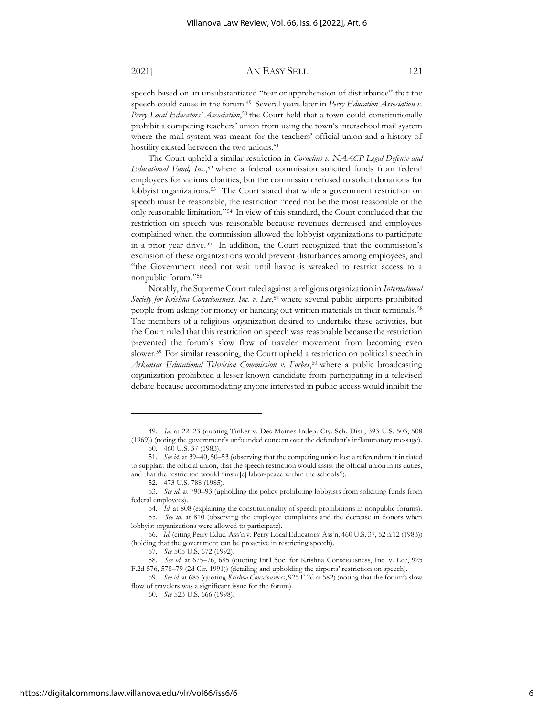speech based on an unsubstantiated "fear or apprehension of disturbance" that the speech could cause in the forum.<sup>49</sup> Several years later in *Perry Education Association v*. *Perry Local Educators' Association*, <sup>50</sup> the Court held that a town could constitutionally prohibit a competing teachers' union from using the town's interschool mail system where the mail system was meant for the teachers' official union and a history of hostility existed between the two unions.<sup>51</sup>

The Court upheld a similar restriction in *Cornelius v. NAACP Legal Defense and Educational Fund, Inc.*, <sup>52</sup> where a federal commission solicited funds from federal employees for various charities, but the commission refused to solicit donations for lobbyist organizations.<sup>53</sup> The Court stated that while a government restriction on speech must be reasonable, the restriction "need not be the most reasonable or the only reasonable limitation."<sup>54</sup> In view of this standard, the Court concluded that the restriction on speech was reasonable because revenues decreased and employees complained when the commission allowed the lobbyist organizations to participate in a prior year drive.<sup>55</sup> In addition, the Court recognized that the commission's exclusion of these organizations would prevent disturbances among employees, and "the Government need not wait until havoc is wreaked to restrict access to a nonpublic forum."<sup>56</sup>

Notably, the Supreme Court ruled against a religious organization in *International Society for Krishna Consciousness, Inc. v. Lee*, <sup>57</sup> where several public airports prohibited people from asking for money or handing out written materials in their terminals. <sup>58</sup> The members of a religious organization desired to undertake these activities, but the Court ruled that this restriction on speech was reasonable because the restriction prevented the forum's slow flow of traveler movement from becoming even slower.<sup>59</sup> For similar reasoning, the Court upheld a restriction on political speech in *Arkansas Educational Television Commission v. Forbes*, <sup>60</sup> where a public broadcasting organization prohibited a lesser known candidate from participating in a televised debate because accommodating anyone interested in public access would inhibit the

<sup>49.</sup> *Id.* at 22–23 (quoting Tinker v. Des Moines Indep. Cty. Sch. Dist., 393 U.S. 503, 508 (1969)) (noting the government's unfounded concern over the defendant's inflammatory message).

<sup>50.</sup> 460 U.S. 37 (1983).

<sup>51.</sup> *See id.* at 39–40, 50–53 (observing that the competing union lost a referendum it initiated to supplant the official union, that the speech restriction would assist the official union in its duties, and that the restriction would "insur[e] labor-peace within the schools").

<sup>52.</sup> 473 U.S. 788 (1985).

<sup>53.</sup> *See id.* at 790–93 (upholding the policy prohibiting lobbyists from soliciting funds from federal employees).

<sup>54.</sup> *Id.* at 808 (explaining the constitutionality of speech prohibitions in nonpublic forums).

<sup>55.</sup> *See id.* at 810 (observing the employee complaints and the decrease in donors when lobbyist organizations were allowed to participate).

<sup>56.</sup> *Id.* (citing Perry Educ. Ass'n v. Perry Local Educators' Ass'n, 460 U.S. 37, 52 n.12 (1983)) (holding that the government can be proactive in restricting speech).

<sup>57.</sup> *See* 505 U.S. 672 (1992).

<sup>58.</sup> *See id.* at 675–76, 685 (quoting Int'l Soc. for Krishna Consciousness, Inc. v. Lee, 925 F.2d 576, 578–79 (2d Cir. 1991)) (detailing and upholding the airports' restriction on speech).

<sup>59.</sup> *See id.* at 685 (quoting *Krishna Consciousness*, 925 F.2d at 582) (noting that the forum's slow flow of travelers was a significant issue for the forum).

<sup>60.</sup> *See* 523 U.S. 666 (1998).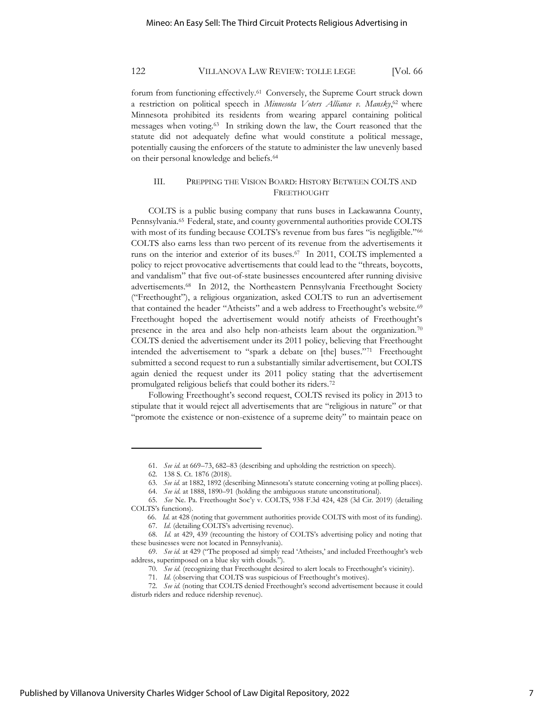forum from functioning effectively.<sup>61</sup> Conversely, the Supreme Court struck down a restriction on political speech in *Minnesota Voters Alliance v. Mansky*,<sup>62</sup> where Minnesota prohibited its residents from wearing apparel containing political messages when voting.<sup>63</sup> In striking down the law, the Court reasoned that the statute did not adequately define what would constitute a political message, potentially causing the enforcers of the statute to administer the law unevenly based on their personal knowledge and beliefs.<sup>64</sup>

# III. PREPPING THE VISION BOARD: HISTORY BETWEEN COLTS AND FREETHOUGHT

COLTS is a public busing company that runs buses in Lackawanna County, Pennsylvania.<sup>65</sup> Federal, state, and county governmental authorities provide COLTS with most of its funding because COLTS's revenue from bus fares "is negligible."<sup>66</sup> COLTS also earns less than two percent of its revenue from the advertisements it runs on the interior and exterior of its buses.<sup>67</sup> In 2011, COLTS implemented a policy to reject provocative advertisements that could lead to the "threats, boycotts, and vandalism" that five out-of-state businesses encountered after running divisive advertisements.<sup>68</sup> In 2012, the Northeastern Pennsylvania Freethought Society ("Freethought"), a religious organization, asked COLTS to run an advertisement that contained the header "Atheists" and a web address to Freethought's website.<sup>69</sup> Freethought hoped the advertisement would notify atheists of Freethought's presence in the area and also help non-atheists learn about the organization.<sup>70</sup> COLTS denied the advertisement under its 2011 policy, believing that Freethought intended the advertisement to "spark a debate on [the] buses."<sup>71</sup> Freethought submitted a second request to run a substantially similar advertisement, but COLTS again denied the request under its 2011 policy stating that the advertisement promulgated religious beliefs that could bother its riders.<sup>72</sup>

Following Freethought's second request, COLTS revised its policy in 2013 to stipulate that it would reject all advertisements that are "religious in nature" or that "promote the existence or non-existence of a supreme deity" to maintain peace on

<sup>61.</sup> *See id.* at 669–73, 682–83 (describing and upholding the restriction on speech).

<sup>62.</sup> 138 S. Ct. 1876 (2018).

<sup>63.</sup> *See id.* at 1882, 1892 (describing Minnesota's statute concerning voting at polling places).

<sup>64.</sup> *See id.* at 1888, 1890–91 (holding the ambiguous statute unconstitutional).

<sup>65.</sup> *See* Ne. Pa. Freethought Soc'y v. COLTS, 938 F.3d 424, 428 (3d Cir. 2019) (detailing COLTS's functions).

<sup>66.</sup> *Id.* at 428 (noting that government authorities provide COLTS with most of its funding). 67. *Id.* (detailing COLTS's advertising revenue).

<sup>68.</sup> *Id.* at 429, 439 (recounting the history of COLTS's advertising policy and noting that these businesses were not located in Pennsylvania).

<sup>69.</sup> *See id.* at 429 ("The proposed ad simply read 'Atheists,' and included Freethought's web address, superimposed on a blue sky with clouds.").

<sup>70.</sup> *See id.* (recognizing that Freethought desired to alert locals to Freethought's vicinity).

<sup>71.</sup> *Id.* (observing that COLTS was suspicious of Freethought's motives).

<sup>72.</sup> *See id.* (noting that COLTS denied Freethought's second advertisement because it could disturb riders and reduce ridership revenue).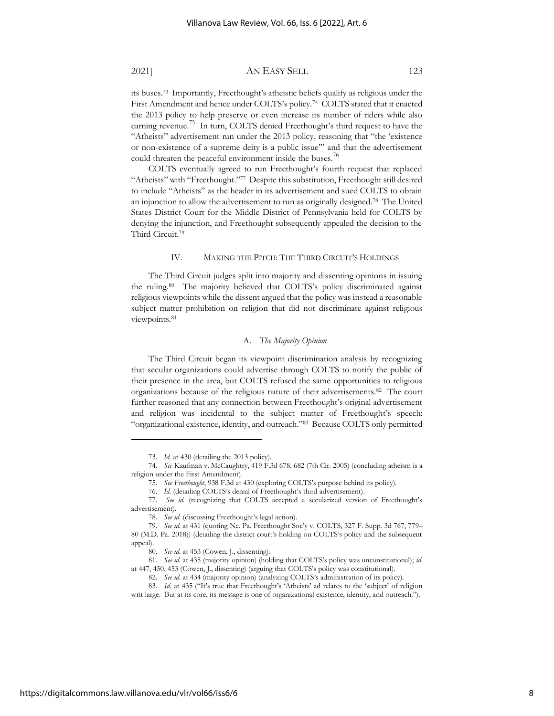its buses.<sup>73</sup> Importantly, Freethought's atheistic beliefs qualify as religious under the First Amendment and hence under COLTS's policy.<sup>74</sup> COLTS stated that it enacted the 2013 policy to help preserve or even increase its number of riders while also earning revenue.<sup>75</sup> In turn, COLTS denied Freethought's third request to have the "Atheists" advertisement run under the 2013 policy, reasoning that "the 'existence or non-existence of a supreme deity is a public issue'" and that the advertisement could threaten the peaceful environment inside the buses.<sup>76</sup>

COLTS eventually agreed to run Freethought's fourth request that replaced "Atheists" with "Freethought."<sup>77</sup> Despite this substitution, Freethought still desired to include "Atheists" as the header in its advertisement and sued COLTS to obtain an injunction to allow the advertisement to run as originally designed.<sup>78</sup> The United States District Court for the Middle District of Pennsylvania held for COLTS by denying the injunction, and Freethought subsequently appealed the decision to the Third Circuit.<sup>79</sup>

### IV. MAKING THE PITCH: THE THIRD CIRCUIT'S HOLDINGS

The Third Circuit judges split into majority and dissenting opinions in issuing the ruling.<sup>80</sup> The majority believed that COLTS's policy discriminated against religious viewpoints while the dissent argued that the policy was instead a reasonable subject matter prohibition on religion that did not discriminate against religious viewpoints.<sup>81</sup>

### A. *The Majority Opinion*

The Third Circuit began its viewpoint discrimination analysis by recognizing that secular organizations could advertise through COLTS to notify the public of their presence in the area, but COLTS refused the same opportunities to religious organizations because of the religious nature of their advertisements.<sup>82</sup> The court further reasoned that any connection between Freethought's original advertisement and religion was incidental to the subject matter of Freethought's speech: "organizational existence, identity, and outreach."<sup>83</sup> Because COLTS only permitted

<sup>73.</sup> *Id.* at 430 (detailing the 2013 policy).

<sup>74.</sup> *See* Kaufman v. McCaughtry, 419 F.3d 678, 682 (7th Cir. 2005) (concluding atheism is a religion under the First Amendment).

<sup>75.</sup> *See Freethought*, 938 F.3d at 430 (exploring COLTS's purpose behind its policy).

<sup>76.</sup> *Id.* (detailing COLTS's denial of Freethought's third advertisement).

<sup>77.</sup> *See id.* (recognizing that COLTS accepted a secularized version of Freethought's advertisement).

<sup>78.</sup> *See id.* (discussing Freethought's legal action).

<sup>79.</sup> *See id.* at 431 (quoting Ne. Pa. Freethought Soc'y v. COLTS, 327 F. Supp. 3d 767, 779– 80 (M.D. Pa. 2018)) (detailing the district court's holding on COLTS's policy and the subsequent appeal).

<sup>80.</sup> *See id.* at 453 (Cowen, J., dissenting).

<sup>81.</sup> *See id.* at 435 (majority opinion) (holding that COLTS's policy was unconstitutional); *id.* at 447, 450, 453 (Cowen, J., dissenting) (arguing that COLTS's policy was constitutional).

<sup>82.</sup> *See id.* at 434 (majority opinion) (analyzing COLTS's administration of its policy).

<sup>83.</sup> *Id.* at 435 ("It's true that Freethought's 'Atheists' ad relates to the 'subject' of religion writ large. But at its core, its message is one of organizational existence, identity, and outreach.").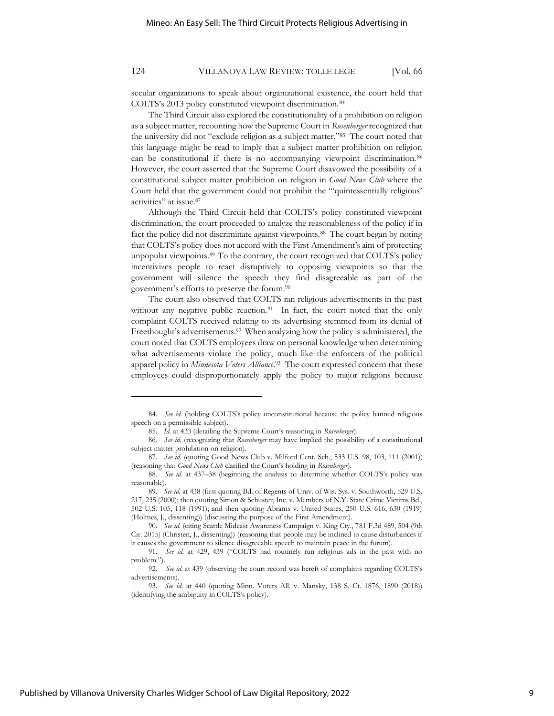secular organizations to speak about organizational existence, the court held that COLTS's 2013 policy constituted viewpoint discrimination.<sup>84</sup>

The Third Circuit also explored the constitutionality of a prohibition on religion as a subject matter, recounting how the Supreme Court in *Rosenberger* recognized that the university did not "exclude religion as a subject matter."<sup>85</sup> The court noted that this language might be read to imply that a subject matter prohibition on religion can be constitutional if there is no accompanying viewpoint discrimination. <sup>86</sup> However, the court asserted that the Supreme Court disavowed the possibility of a constitutional subject matter prohibition on religion in *Good News Club* where the Court held that the government could not prohibit the "'quintessentially religious' activities" at issue.<sup>87</sup>

Although the Third Circuit held that COLTS's policy constituted viewpoint discrimination, the court proceeded to analyze the reasonableness of the policy if in fact the policy did not discriminate against viewpoints.<sup>88</sup> The court began by noting that COLTS's policy does not accord with the First Amendment's aim of protecting unpopular viewpoints.<sup>89</sup> To the contrary, the court recognized that COLTS's policy incentivizes people to react disruptively to opposing viewpoints so that the government will silence the speech they find disagreeable as part of the government's efforts to preserve the forum.<sup>90</sup>

The court also observed that COLTS ran religious advertisements in the past without any negative public reaction.<sup>91</sup> In fact, the court noted that the only complaint COLTS received relating to its advertising stemmed from its denial of Freethought's advertisements.<sup>92</sup> When analyzing how the policy is administered, the court noted that COLTS employees draw on personal knowledge when determining what advertisements violate the policy, much like the enforcers of the political apparel policy in *Minnesota Voters Alliance*. 93 The court expressed concern that these employees could disproportionately apply the policy to major religions because

<sup>84.</sup> *See id.* (holding COLTS's policy unconstitutional because the policy banned religious speech on a permissible subject).

<sup>85.</sup> *Id.* at 433 (detailing the Supreme Court's reasoning in *Rosenberger*).

<sup>86.</sup> *See id.* (recognizing that *Rosenberger* may have implied the possibility of a constitutional subject matter prohibition on religion).

<sup>87.</sup> *See id.* (quoting Good News Club v. Milford Cent. Sch., 533 U.S. 98, 103, 111 (2001)) (reasoning that *Good News Club* clarified the Court's holding in *Rosenberger*).

<sup>88.</sup> *See id.* at 437–38 (beginning the analysis to determine whether COLTS's policy was reasonable).

<sup>89.</sup> *See id.* at 438 (first quoting Bd. of Regents of Univ. of Wis. Sys. v. Southworth, 529 U.S. 217, 235 (2000); then quoting Simon & Schuster, Inc. v. Members of N.Y. State Crime Victims Bd., 502 U.S. 105, 118 (1991); and then quoting Abrams v. United States, 250 U.S. 616, 630 (1919) (Holmes, J., dissenting)) (discussing the purpose of the First Amendment).

<sup>90.</sup> *See id.* (citing Seattle Mideast Awareness Campaign v. King Cty., 781 F.3d 489, 504 (9th Cir. 2015) (Christen, J., dissenting)) (reasoning that people may be inclined to cause disturbances if it causes the government to silence disagreeable speech to maintain peace in the forum).

<sup>91.</sup> *See id.* at 429, 439 ("COLTS had routinely run religious ads in the past with no problem.").

<sup>92.</sup> *See id.* at 439 (observing the court record was bereft of complaints regarding COLTS's advertisements).

<sup>93.</sup> *See id.* at 440 (quoting Minn. Voters All. v. Mansky, 138 S. Ct. 1876, 1890 (2018)) (identifying the ambiguity in COLTS's policy).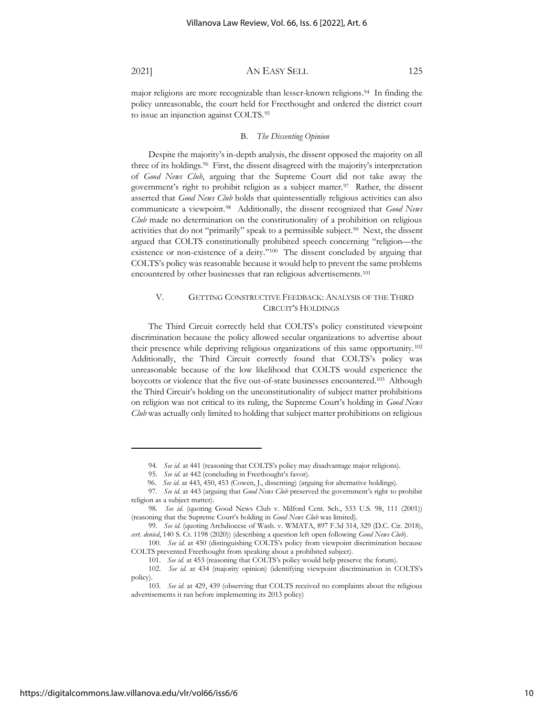major religions are more recognizable than lesser-known religions.<sup>94</sup> In finding the policy unreasonable, the court held for Freethought and ordered the district court to issue an injunction against COLTS.<sup>95</sup>

#### B. *The Dissenting Opinion*

Despite the majority's in-depth analysis, the dissent opposed the majority on all three of its holdings.<sup>96</sup> First, the dissent disagreed with the majority's interpretation of *Good News Club*, arguing that the Supreme Court did not take away the government's right to prohibit religion as a subject matter.<sup>97</sup> Rather, the dissent asserted that *Good News Club* holds that quintessentially religious activities can also communicate a viewpoint.<sup>98</sup> Additionally, the dissent recognized that *Good News Club* made no determination on the constitutionality of a prohibition on religious activities that do not "primarily" speak to a permissible subject.<sup>99</sup> Next, the dissent argued that COLTS constitutionally prohibited speech concerning "religion—the existence or non-existence of a deity."<sup>100</sup> The dissent concluded by arguing that COLTS's policy was reasonable because it would help to prevent the same problems encountered by other businesses that ran religious advertisements.<sup>101</sup>

# V. GETTING CONSTRUCTIVE FEEDBACK: ANALYSIS OF THE THIRD CIRCUIT'S HOLDINGS

The Third Circuit correctly held that COLTS's policy constituted viewpoint discrimination because the policy allowed secular organizations to advertise about their presence while depriving religious organizations of this same opportunity.<sup>102</sup> Additionally, the Third Circuit correctly found that COLTS's policy was unreasonable because of the low likelihood that COLTS would experience the boycotts or violence that the five out-of-state businesses encountered.<sup>103</sup> Although the Third Circuit's holding on the unconstitutionality of subject matter prohibitions on religion was not critical to its ruling, the Supreme Court's holding in *Good News Club* was actually only limited to holding that subject matter prohibitions on religious

<sup>94.</sup> *See id.* at 441 (reasoning that COLTS's policy may disadvantage major religions).

<sup>95.</sup> *See id.* at 442 (concluding in Freethought's favor).

<sup>96.</sup> *See id.* at 443, 450, 453 (Cowen, J., dissenting) (arguing for alternative holdings).

<sup>97.</sup> *See id.* at 443 (arguing that *Good News Club* preserved the government's right to prohibit religion as a subject matter).

<sup>98.</sup> *See id.* (quoting Good News Club v. Milford Cent. Sch., 533 U.S. 98, 111 (2001)) (reasoning that the Supreme Court's holding in *Good News Club* was limited).

<sup>99.</sup> *See id.* (quoting Archdiocese of Wash. v. WMATA, 897 F.3d 314, 329 (D.C. Cir. 2018), *cert. denied*, 140 S. Ct. 1198 (2020)) (describing a question left open following *Good News Club*).

<sup>100.</sup> *See id.* at 450 (distinguishing COLTS's policy from viewpoint discrimination because COLTS prevented Freethought from speaking about a prohibited subject).

<sup>101.</sup> *See id.* at 453 (reasoning that COLTS's policy would help preserve the forum).

<sup>102.</sup> *See id.* at 434 (majority opinion) (identifying viewpoint discrimination in COLTS's policy).

<sup>103.</sup> *See id.* at 429, 439 (observing that COLTS received no complaints about the religious advertisements it ran before implementing its 2013 policy)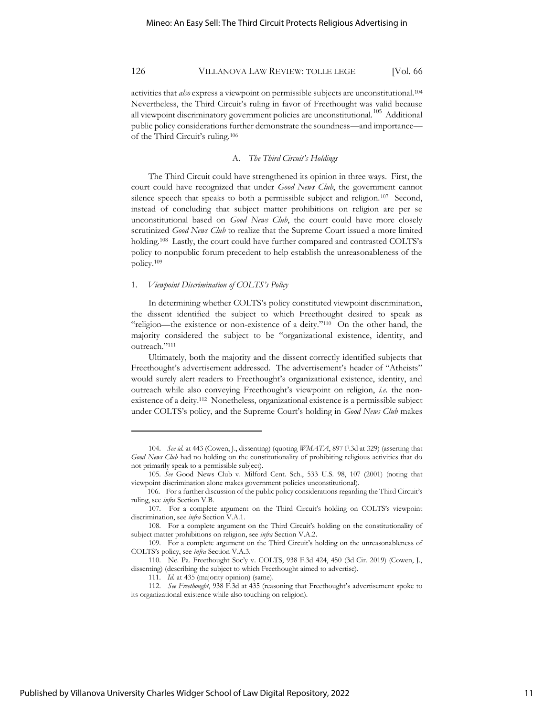activities that *also* express a viewpoint on permissible subjects are unconstitutional.<sup>104</sup> Nevertheless, the Third Circuit's ruling in favor of Freethought was valid because all viewpoint discriminatory government policies are unconstitutional.<sup>105</sup> Additional public policy considerations further demonstrate the soundness—and importance of the Third Circuit's ruling.<sup>106</sup>

### A. *The Third Circuit's Holdings*

The Third Circuit could have strengthened its opinion in three ways. First, the court could have recognized that under *Good News Club*, the government cannot silence speech that speaks to both a permissible subject and religion.<sup>107</sup> Second, instead of concluding that subject matter prohibitions on religion are per se unconstitutional based on *Good News Club*, the court could have more closely scrutinized *Good News Club* to realize that the Supreme Court issued a more limited holding.<sup>108</sup> Lastly, the court could have further compared and contrasted COLTS's policy to nonpublic forum precedent to help establish the unreasonableness of the policy.<sup>109</sup>

#### 1. *Viewpoint Discrimination of COLTS's Policy*

In determining whether COLTS's policy constituted viewpoint discrimination, the dissent identified the subject to which Freethought desired to speak as "religion—the existence or non-existence of a deity."<sup>110</sup> On the other hand, the majority considered the subject to be "organizational existence, identity, and outreach."<sup>111</sup>

Ultimately, both the majority and the dissent correctly identified subjects that Freethought's advertisement addressed. The advertisement's header of "Atheists" would surely alert readers to Freethought's organizational existence, identity, and outreach while also conveying Freethought's viewpoint on religion, *i.e.* the nonexistence of a deity.<sup>112</sup> Nonetheless, organizational existence is a permissible subject under COLTS's policy, and the Supreme Court's holding in *Good News Club* makes

<sup>104.</sup> *See id.* at 443 (Cowen, J., dissenting) (quoting *WMATA*, 897 F.3d at 329) (asserting that *Good News Club* had no holding on the constitutionality of prohibiting religious activities that do not primarily speak to a permissible subject).

<sup>105.</sup> *See* Good News Club v. Milford Cent. Sch., 533 U.S. 98, 107 (2001) (noting that viewpoint discrimination alone makes government policies unconstitutional).

<sup>106.</sup> For a further discussion of the public policy considerations regarding the Third Circuit's ruling, see *infra* Section V.B.

<sup>107.</sup> For a complete argument on the Third Circuit's holding on COLTS's viewpoint discrimination, see *infra* Section V.A.1.

<sup>108.</sup> For a complete argument on the Third Circuit's holding on the constitutionality of subject matter prohibitions on religion, see *infra* Section V.A.2.

<sup>109.</sup> For a complete argument on the Third Circuit's holding on the unreasonableness of COLTS's policy, see *infra* Section V.A.3.

<sup>110.</sup> Ne. Pa. Freethought Soc'y v. COLTS, 938 F.3d 424, 450 (3d Cir. 2019) (Cowen, J., dissenting) (describing the subject to which Freethought aimed to advertise).

<sup>111.</sup> *Id.* at 435 (majority opinion) (same).

<sup>112.</sup> *See Freethought*, 938 F.3d at 435 (reasoning that Freethought's advertisement spoke to its organizational existence while also touching on religion).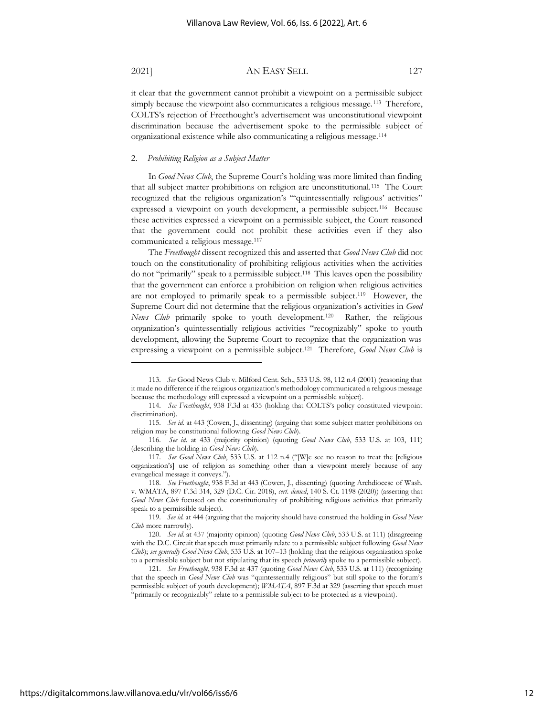it clear that the government cannot prohibit a viewpoint on a permissible subject simply because the viewpoint also communicates a religious message.<sup>113</sup> Therefore, COLTS's rejection of Freethought's advertisement was unconstitutional viewpoint discrimination because the advertisement spoke to the permissible subject of organizational existence while also communicating a religious message.<sup>114</sup>

### 2. *Prohibiting Religion as a Subject Matter*

In *Good News Club*, the Supreme Court's holding was more limited than finding that all subject matter prohibitions on religion are unconstitutional.<sup>115</sup> The Court recognized that the religious organization's "'quintessentially religious' activities" expressed a viewpoint on youth development, a permissible subject.<sup>116</sup> Because these activities expressed a viewpoint on a permissible subject, the Court reasoned that the government could not prohibit these activities even if they also communicated a religious message.<sup>117</sup>

The *Freethought* dissent recognized this and asserted that *Good News Club* did not touch on the constitutionality of prohibiting religious activities when the activities do not "primarily" speak to a permissible subject.<sup>118</sup> This leaves open the possibility that the government can enforce a prohibition on religion when religious activities are not employed to primarily speak to a permissible subject.<sup>119</sup> However, the Supreme Court did not determine that the religious organization's activities in *Good*  News Club primarily spoke to youth development.<sup>120</sup> Rather, the religious organization's quintessentially religious activities "recognizably" spoke to youth development, allowing the Supreme Court to recognize that the organization was expressing a viewpoint on a permissible subject.<sup>121</sup> Therefore, *Good News Club* is

<sup>113.</sup> *See* Good News Club v. Milford Cent. Sch., 533 U.S. 98, 112 n.4 (2001) (reasoning that it made no difference if the religious organization's methodology communicated a religious message because the methodology still expressed a viewpoint on a permissible subject).

<sup>114.</sup> *See Freethought*, 938 F.3d at 435 (holding that COLTS's policy constituted viewpoint discrimination).

<sup>115.</sup> *See id.* at 443 (Cowen, J., dissenting) (arguing that some subject matter prohibitions on religion may be constitutional following *Good News Club*).

<sup>116.</sup> *See id.* at 433 (majority opinion) (quoting *Good News Club*, 533 U.S. at 103, 111) (describing the holding in *Good News Club*).

<sup>117.</sup> *See Good News Club*, 533 U.S. at 112 n.4 ("[W]e see no reason to treat the [religious organization's] use of religion as something other than a viewpoint merely because of any evangelical message it conveys.").

<sup>118.</sup> *See Freethought*, 938 F.3d at 443 (Cowen, J., dissenting) (quoting Archdiocese of Wash. v. WMATA, 897 F.3d 314, 329 (D.C. Cir. 2018), *cert. denied*, 140 S. Ct. 1198 (2020)) (asserting that *Good News Club* focused on the constitutionality of prohibiting religious activities that primarily speak to a permissible subject).

<sup>119.</sup> *See id.* at 444 (arguing that the majority should have construed the holding in *Good News Club* more narrowly).

<sup>120.</sup> *See id.* at 437 (majority opinion) (quoting *Good News Club*, 533 U.S. at 111) (disagreeing with the D.C. Circuit that speech must primarily relate to a permissible subject following *Good News Club*); *see generally Good News Club*, 533 U.S. at 107–13 (holding that the religious organization spoke to a permissible subject but not stipulating that its speech *primarily* spoke to a permissible subject).

<sup>121.</sup> *See Freethought*, 938 F.3d at 437 (quoting *Good News Club*, 533 U.S. at 111) (recognizing that the speech in *Good News Club* was "quintessentially religious" but still spoke to the forum's permissible subject of youth development); *WMATA*, 897 F.3d at 329 (asserting that speech must "primarily or recognizably" relate to a permissible subject to be protected as a viewpoint).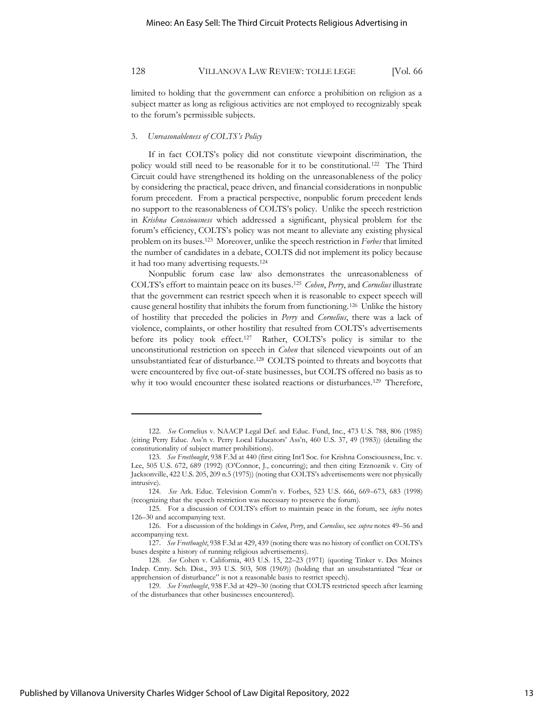limited to holding that the government can enforce a prohibition on religion as a subject matter as long as religious activities are not employed to recognizably speak to the forum's permissible subjects.

#### 3. *Unreasonableness of COLTS's Policy*

If in fact COLTS's policy did not constitute viewpoint discrimination, the policy would still need to be reasonable for it to be constitutional. <sup>122</sup> The Third Circuit could have strengthened its holding on the unreasonableness of the policy by considering the practical, peace driven, and financial considerations in nonpublic forum precedent. From a practical perspective, nonpublic forum precedent lends no support to the reasonableness of COLTS's policy. Unlike the speech restriction in *Krishna Consciousness* which addressed a significant, physical problem for the forum's efficiency, COLTS's policy was not meant to alleviate any existing physical problem on its buses.<sup>123</sup> Moreover, unlike the speech restriction in *Forbes* that limited the number of candidates in a debate, COLTS did not implement its policy because it had too many advertising requests.<sup>124</sup>

Nonpublic forum case law also demonstrates the unreasonableness of COLTS's effort to maintain peace on its buses.<sup>125</sup> *Cohen*, *Perry*, and *Cornelius* illustrate that the government can restrict speech when it is reasonable to expect speech will cause general hostility that inhibits the forum from functioning.<sup>126</sup> Unlike the history of hostility that preceded the policies in *Perry* and *Cornelius*, there was a lack of violence, complaints, or other hostility that resulted from COLTS's advertisements before its policy took effect.<sup>127</sup> Rather, COLTS's policy is similar to the unconstitutional restriction on speech in *Cohen* that silenced viewpoints out of an unsubstantiated fear of disturbance.<sup>128</sup> COLTS pointed to threats and boycotts that were encountered by five out-of-state businesses, but COLTS offered no basis as to why it too would encounter these isolated reactions or disturbances.<sup>129</sup> Therefore,

<sup>122.</sup> *See* Cornelius v. NAACP Legal Def. and Educ. Fund, Inc., 473 U.S. 788, 806 (1985) (citing Perry Educ. Ass'n v. Perry Local Educators' Ass'n, 460 U.S. 37, 49 (1983)) (detailing the constitutionality of subject matter prohibitions).

<sup>123.</sup> *See Freethought*, 938 F.3d at 440 (first citing Int'l Soc. for Krishna Consciousness, Inc. v. Lee, 505 U.S. 672, 689 (1992) (O'Connor, J., concurring); and then citing Erznoznik v. City of Jacksonville, 422 U.S. 205, 209 n.5 (1975)) (noting that COLTS's advertisements were not physically intrusive).

<sup>124.</sup> *See* Ark. Educ. Television Comm'n v. Forbes, 523 U.S. 666, 669–673, 683 (1998) (recognizing that the speech restriction was necessary to preserve the forum).

<sup>125.</sup> For a discussion of COLTS's effort to maintain peace in the forum, see *infra* notes 126–30 and accompanying text.

<sup>126.</sup> For a discussion of the holdings in *Cohen*, *Perry*, and *Cornelius*, see *supra* notes 49–56 and accompanying text.

<sup>127.</sup> *See Freethought*, 938 F.3d at 429, 439 (noting there was no history of conflict on COLTS's buses despite a history of running religious advertisements).

<sup>128.</sup> *See* Cohen v. California, 403 U.S. 15, 22–23 (1971) (quoting Tinker v. Des Moines Indep. Cmty. Sch. Dist., 393 U.S. 503, 508 (1969)) (holding that an unsubstantiated "fear or apprehension of disturbance" is not a reasonable basis to restrict speech).

<sup>129.</sup> *See Freethought*, 938 F.3d at 429–30 (noting that COLTS restricted speech after learning of the disturbances that other businesses encountered).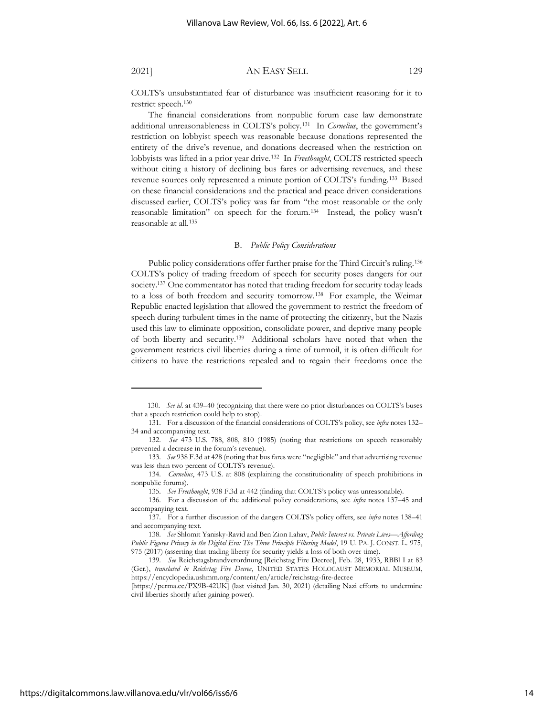COLTS's unsubstantiated fear of disturbance was insufficient reasoning for it to restrict speech.<sup>130</sup>

The financial considerations from nonpublic forum case law demonstrate additional unreasonableness in COLTS's policy.<sup>131</sup> In *Cornelius*, the government's restriction on lobbyist speech was reasonable because donations represented the entirety of the drive's revenue, and donations decreased when the restriction on lobbyists was lifted in a prior year drive.<sup>132</sup> In *Freethought*, COLTS restricted speech without citing a history of declining bus fares or advertising revenues, and these revenue sources only represented a minute portion of COLTS's funding.<sup>133</sup> Based on these financial considerations and the practical and peace driven considerations discussed earlier, COLTS's policy was far from "the most reasonable or the only reasonable limitation" on speech for the forum.<sup>134</sup> Instead, the policy wasn't reasonable at all.<sup>135</sup>

#### B. *Public Policy Considerations*

Public policy considerations offer further praise for the Third Circuit's ruling.<sup>136</sup> COLTS's policy of trading freedom of speech for security poses dangers for our society.137 One commentator has noted that trading freedom for security today leads to a loss of both freedom and security tomorrow.<sup>138</sup> For example, the Weimar Republic enacted legislation that allowed the government to restrict the freedom of speech during turbulent times in the name of protecting the citizenry, but the Nazis used this law to eliminate opposition, consolidate power, and deprive many people of both liberty and security.<sup>139</sup> Additional scholars have noted that when the government restricts civil liberties during a time of turmoil, it is often difficult for citizens to have the restrictions repealed and to regain their freedoms once the

<sup>130.</sup> *See id.* at 439–40 (recognizing that there were no prior disturbances on COLTS's buses that a speech restriction could help to stop).

<sup>131.</sup> For a discussion of the financial considerations of COLTS's policy, see *infra* notes 132– 34 and accompanying text.

<sup>132.</sup> *See* 473 U.S. 788, 808, 810 (1985) (noting that restrictions on speech reasonably prevented a decrease in the forum's revenue).

<sup>133.</sup> *See* 938 F.3d at 428 (noting that bus fares were "negligible" and that advertising revenue was less than two percent of COLTS's revenue).

<sup>134.</sup> *Cornelius*, 473 U.S. at 808 (explaining the constitutionality of speech prohibitions in nonpublic forums).

<sup>135.</sup> *See Freethought*, 938 F.3d at 442 (finding that COLTS's policy was unreasonable).

<sup>136.</sup> For a discussion of the additional policy considerations, see *infra* notes 137–45 and accompanying text.

<sup>137.</sup> For a further discussion of the dangers COLTS's policy offers, see *infra* notes 138–41 and accompanying text.

<sup>138.</sup> *See* Shlomit Yanisky-Ravid and Ben Zion Lahav, *Public Interest vs. Private Lives—Affording Public Figures Privacy in the Digital Era: The Three Principle Filtering Model*, 19 U. PA. J. CONST. L. 975, 975 (2017) (asserting that trading liberty for security yields a loss of both over time).

<sup>139.</sup> *See* Reichstagsbrandverordnung [Reichstag Fire Decree], Feb. 28, 1933, RBBl I at 83 (Ger.), *translated in Reichstag Fire Decree*, UNITED STATES HOLOCAUST MEMORIAL MUSEUM, https://encyclopedia.ushmm.org/content/en/article/reichstag-fire-decree

<sup>[</sup>https://perma.cc/PX9B-42UK] (last visited Jan. 30, 2021) (detailing Nazi efforts to undermine civil liberties shortly after gaining power).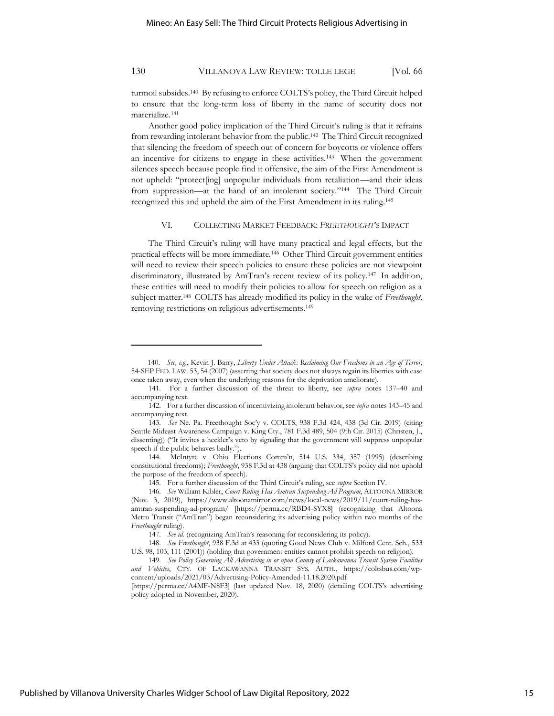turmoil subsides.<sup>140</sup> By refusing to enforce COLTS's policy, the Third Circuit helped to ensure that the long-term loss of liberty in the name of security does not materialize.<sup>141</sup>

Another good policy implication of the Third Circuit's ruling is that it refrains from rewarding intolerant behavior from the public.<sup>142</sup> The Third Circuit recognized that silencing the freedom of speech out of concern for boycotts or violence offers an incentive for citizens to engage in these activities.<sup>143</sup> When the government silences speech because people find it offensive, the aim of the First Amendment is not upheld: "protect[ing] unpopular individuals from retaliation—and their ideas from suppression—at the hand of an intolerant society."<sup>144</sup> The Third Circuit recognized this and upheld the aim of the First Amendment in its ruling.<sup>145</sup>

### VI. COLLECTING MARKET FEEDBACK: *FREETHOUGHT*'S IMPACT

The Third Circuit's ruling will have many practical and legal effects, but the practical effects will be more immediate.<sup>146</sup> Other Third Circuit government entities will need to review their speech policies to ensure these policies are not viewpoint discriminatory, illustrated by AmTran's recent review of its policy.<sup>147</sup> In addition, these entities will need to modify their policies to allow for speech on religion as a subject matter. <sup>148</sup> COLTS has already modified its policy in the wake of *Freethought*, removing restrictions on religious advertisements.<sup>149</sup>

<sup>140.</sup> *See, e.g.*, Kevin J. Barry, *Liberty Under Attack: Reclaiming Our Freedoms in an Age of Terror*, 54-SEP FED. LAW. 53, 54 (2007) (asserting that society does not always regain its liberties with ease once taken away, even when the underlying reasons for the deprivation ameliorate).

<sup>141.</sup> For a further discussion of the threat to liberty, see *supra* notes 137–40 and accompanying text.

<sup>142.</sup> For a further discussion of incentivizing intolerant behavior, see *infra* notes 143–45 and accompanying text.

<sup>143.</sup> *See* Ne. Pa. Freethought Soc'y v. COLTS, 938 F.3d 424, 438 (3d Cir. 2019) (citing Seattle Mideast Awareness Campaign v. King Cty., 781 F.3d 489, 504 (9th Cir. 2015) (Christen, J., dissenting)) ("It invites a heckler's veto by signaling that the government will suppress unpopular speech if the public behaves badly.").

<sup>144.</sup> McIntyre v. Ohio Elections Comm'n, 514 U.S. 334, 357 (1995) (describing constitutional freedoms); *Freethought*, 938 F.3d at 438 (arguing that COLTS's policy did not uphold the purpose of the freedom of speech).

<sup>145.</sup> For a further discussion of the Third Circuit's ruling, see *supra* Section IV.

<sup>146.</sup> *See* William Kibler, *Court Ruling Has Amtran Suspending Ad Program*, ALTOONA MIRROR (Nov. 3, 2019), https://www.altoonamirror.com/news/local-news/2019/11/court-ruling-hasamtran-suspending-ad-program/ [https://perma.cc/RBD4-SYX8] (recognizing that Altoona Metro Transit ("AmTran") began reconsidering its advertising policy within two months of the *Freethought* ruling).

<sup>147.</sup> *See id.* (recognizing AmTran's reasoning for reconsidering its policy).

<sup>148.</sup> *See Freethought*, 938 F.3d at 433 (quoting Good News Club v. Milford Cent. Sch., 533 U.S. 98, 103, 111 (2001)) (holding that government entities cannot prohibit speech on religion).

<sup>149.</sup> *See Policy Governing All Advertising in or upon County of Lackawanna Transit System Facilities and Vehicles*, CTY. OF LACKAWANNA TRANSIT SYS. AUTH., https://coltsbus.com/wpcontent/uploads/2021/03/Advertising-Policy-Amended-11.18.2020.pdf

<sup>[</sup>https://perma.cc/A4MF-N8F3] (last updated Nov. 18, 2020) (detailing COLTS's advertising policy adopted in November, 2020).